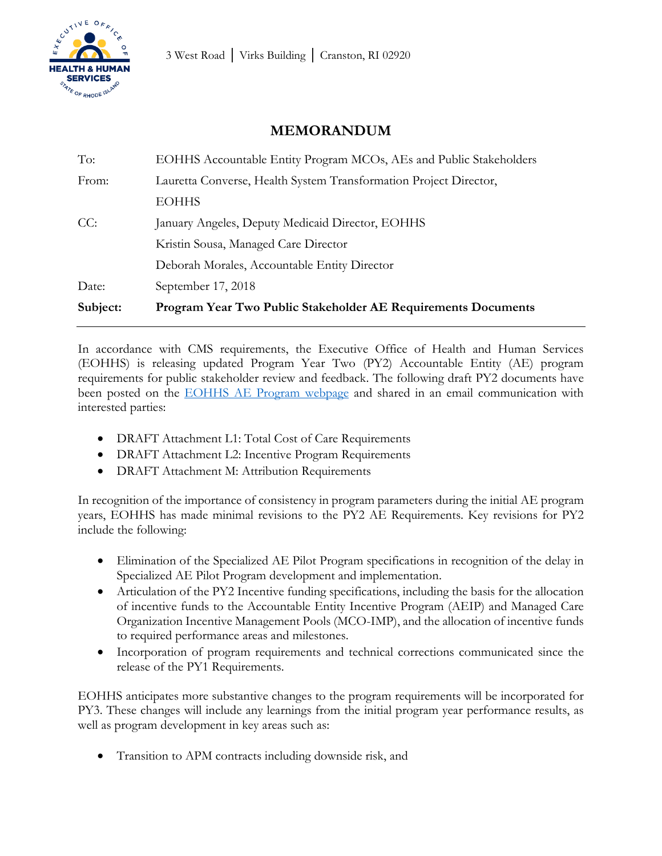## **MEMORANDUM**

| Subject: | <b>Program Year Two Public Stakeholder AE Requirements Documents</b> |
|----------|----------------------------------------------------------------------|
| Date:    | September 17, 2018                                                   |
|          | Deborah Morales, Accountable Entity Director                         |
|          | Kristin Sousa, Managed Care Director                                 |
| CC:      | January Angeles, Deputy Medicaid Director, EOHHS                     |
|          | <b>EOHHS</b>                                                         |
| From:    | Lauretta Converse, Health System Transformation Project Director,    |
| To:      | EOHHS Accountable Entity Program MCOs, AEs and Public Stakeholders   |

In accordance with CMS requirements, the Executive Office of Health and Human Services (EOHHS) is releasing updated Program Year Two (PY2) Accountable Entity (AE) program requirements for public stakeholder review and feedback. The following draft PY2 documents have been posted on the [EOHHS AE Program webpage](http://www.eohhs.ri.gov/Initiatives/AccountableEntities/ResourceDocuments.aspx) and shared in an email communication with interested parties:

- DRAFT Attachment L1: Total Cost of Care Requirements
- DRAFT Attachment L2: Incentive Program Requirements
- DRAFT Attachment M: Attribution Requirements

In recognition of the importance of consistency in program parameters during the initial AE program years, EOHHS has made minimal revisions to the PY2 AE Requirements. Key revisions for PY2 include the following:

- Elimination of the Specialized AE Pilot Program specifications in recognition of the delay in Specialized AE Pilot Program development and implementation.
- Articulation of the PY2 Incentive funding specifications, including the basis for the allocation of incentive funds to the Accountable Entity Incentive Program (AEIP) and Managed Care Organization Incentive Management Pools (MCO-IMP), and the allocation of incentive funds to required performance areas and milestones.
- Incorporation of program requirements and technical corrections communicated since the release of the PY1 Requirements.

EOHHS anticipates more substantive changes to the program requirements will be incorporated for PY3. These changes will include any learnings from the initial program year performance results, as well as program development in key areas such as:

• Transition to APM contracts including downside risk, and